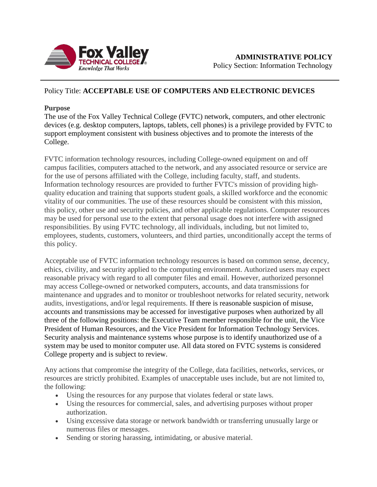

## Policy Title: **ACCEPTABLE USE OF COMPUTERS AND ELECTRONIC DEVICES**

## **Purpose**

The use of the Fox Valley Technical College (FVTC) network, computers, and other electronic devices (e.g. desktop computers, laptops, tablets, cell phones) is a privilege provided by FVTC to support employment consistent with business objectives and to promote the interests of the College.

FVTC information technology resources, including College-owned equipment on and off campus facilities, computers attached to the network, and any associated resource or service are for the use of persons affiliated with the College, including faculty, staff, and students. Information technology resources are provided to further FVTC's mission of providing highquality education and training that supports student goals, a skilled workforce and the economic vitality of our communities. The use of these resources should be consistent with this mission, this policy, other use and security policies, and other applicable regulations. Computer resources may be used for personal use to the extent that personal usage does not interfere with assigned responsibilities. By using FVTC technology, all individuals, including, but not limited to, employees, students, customers, volunteers, and third parties, unconditionally accept the terms of this policy.

Acceptable use of FVTC information technology resources is based on common sense, decency, ethics, civility, and security applied to the computing environment. Authorized users may expect reasonable privacy with regard to all computer files and email. However, authorized personnel may access College-owned or networked computers, accounts, and data transmissions for maintenance and upgrades and to monitor or troubleshoot networks for related security, network audits, investigations, and/or legal requirements. If there is reasonable suspicion of misuse, accounts and transmissions may be accessed for investigative purposes when authorized by all three of the following positions: the Executive Team member responsible for the unit, the Vice President of Human Resources, and the Vice President for Information Technology Services. Security analysis and maintenance systems whose purpose is to identify unauthorized use of a system may be used to monitor computer use. All data stored on FVTC systems is considered College property and is subject to review.

Any actions that compromise the integrity of the College, data facilities, networks, services, or resources are strictly prohibited. Examples of unacceptable uses include, but are not limited to, the following:

- Using the resources for any purpose that violates federal or state laws.
- Using the resources for commercial, sales, and advertising purposes without proper authorization.
- Using excessive data storage or network bandwidth or transferring unusually large or numerous files or messages.
- Sending or storing harassing, intimidating, or abusive material.